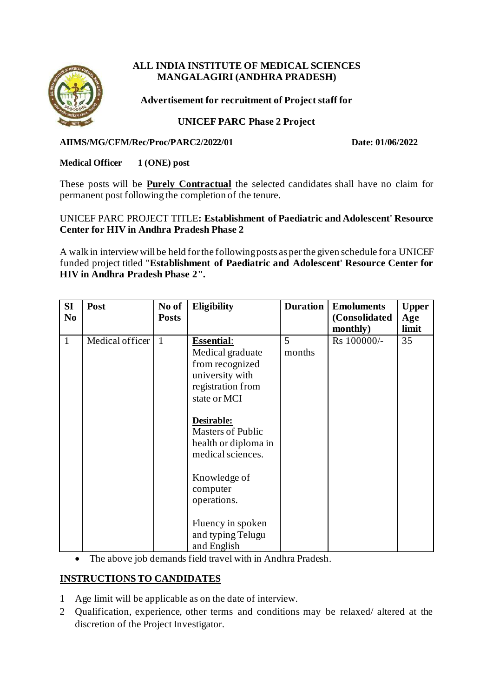# **ALL INDIA INSTITUTE OF MEDICAL SCIENCES MANGALAGIRI (ANDHRA PRADESH)**



**Advertisement for recruitment of Project staff for**

# **UNICEF PARC Phase 2 Project**

### **AIIMS/MG/CFM/Rec/Proc/PARC2/2022/01 Date: 01/06/2022**

## **Medical Officer 1 (ONE) post**

These posts will be **Purely Contractual** the selected candidates shall have no claim for permanent post following the completion of the tenure.

### UNICEF PARC PROJECT TITLE**: Establishment of Paediatric and Adolescent' Resource Center for HIV in Andhra Pradesh Phase 2**

A walk in interview will be held for the following posts as per the given schedule for a UNICEF funded project titled "**Establishment of Paediatric and Adolescent' Resource Center for HIV in Andhra Pradesh Phase 2".**

| SI<br>N <sub>0</sub> | Post            | No of<br><b>Posts</b> | <b>Eligibility</b>                                                                                                                                                                                                                                 | <b>Duration</b> | <b>Emoluments</b><br>(Consolidated<br>monthly) | <b>Upper</b><br>Age<br>limit |
|----------------------|-----------------|-----------------------|----------------------------------------------------------------------------------------------------------------------------------------------------------------------------------------------------------------------------------------------------|-----------------|------------------------------------------------|------------------------------|
| 1                    | Medical officer | $\mathbf{1}$          | <b>Essential:</b><br>Medical graduate<br>from recognized<br>university with<br>registration from<br>state or MCI<br>Desirable:<br><b>Masters of Public</b><br>health or diploma in<br>medical sciences.<br>Knowledge of<br>computer<br>operations. | 5<br>months     | Rs 100000/-                                    | 35                           |
|                      |                 |                       | Fluency in spoken<br>and typing Telugu<br>and English                                                                                                                                                                                              |                 |                                                |                              |

• The above job demands field travel with in Andhra Pradesh.

# **INSTRUCTIONS TO CANDIDATES**

- 1 Age limit will be applicable as on the date of interview.
- 2 Qualification, experience, other terms and conditions may be relaxed/ altered at the discretion of the Project Investigator.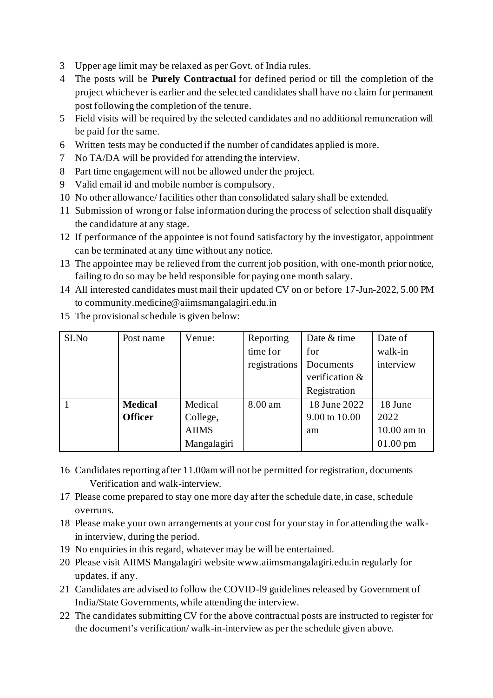- 3 Upper age limit may be relaxed as per Govt. of India rules.
- 4 The posts will be **Purely Contractual** for defined period or till the completion of the project whichever is earlier and the selected candidates shall have no claim for permanent post following the completion of the tenure.
- 5 Field visits will be required by the selected candidates and no additional remuneration will be paid for the same.
- 6 Written tests may be conducted if the number of candidates applied is more.
- 7 No TA/DA will be provided for attending the interview.
- 8 Part time engagement will not be allowed under the project.
- 9 Valid email id and mobile number is compulsory.
- 10 No other allowance/ facilities other than consolidated salary shall be extended.
- 11 Submission of wrong or false information during the process of selection shall disqualify the candidature at any stage.
- 12 If performance of the appointee is not found satisfactory by the investigator, appointment can be terminated at any time without any notice.
- 13 The appointee may be relieved from the current job position, with one-month prior notice, failing to do so may be held responsible for paying one month salary.
- 14 All interested candidates must mail their updated CV on or before 17-Jun-2022, 5.00 PM to community.medicine@aiimsmangalagiri.edu.in

| SI.No | Post name      | Venue:       | Reporting     | Date & time    | Date of            |
|-------|----------------|--------------|---------------|----------------|--------------------|
|       |                |              | time for      | for            | walk-in            |
|       |                |              | registrations | Documents      | interview          |
|       |                |              |               | verification & |                    |
|       |                |              |               | Registration   |                    |
|       | <b>Medical</b> | Medical      | 8.00 am       | 18 June 2022   | 18 June            |
|       | <b>Officer</b> | College,     |               | 9.00 to 10.00  | 2022               |
|       |                | <b>AIIMS</b> |               | am             | $10.00$ am to      |
|       |                | Mangalagiri  |               |                | $01.00 \text{ pm}$ |

15 The provisional schedule is given below:

- 16 Candidates reporting after 11.00am will not be permitted for registration, documents Verification and walk-interview.
- 17 Please come prepared to stay one more day after the schedule date, in case, schedule overruns.
- 18 Please make your own arrangements at your cost for your stay in for attending the walkin interview, during the period.
- 19 No enquiries in this regard, whatever may be will be entertained.
- 20 Please visit AIIMS Mangalagiri website www.aiimsmangalagiri.edu.in regularly for updates, if any.
- 21 Candidates are advised to follow the COVID-l9 guidelines released by Government of India/State Governments, while attending the interview.
- 22 The candidates submitting CV for the above contractual posts are instructed to register for the document's verification/ walk-in-interview as per the schedule given above.